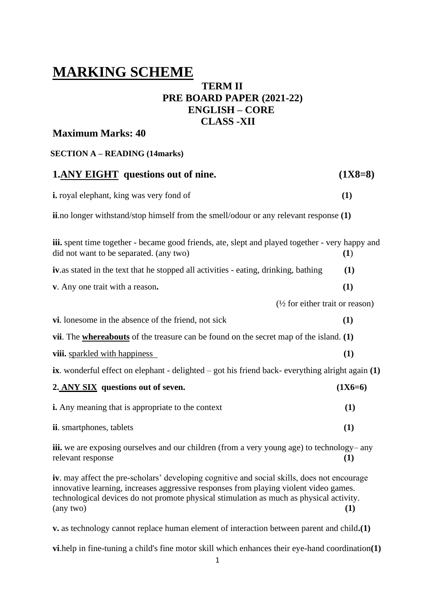# **MARKING SCHEME**

# **TERM II PRE BOARD PAPER (2021-22) ENGLISH – CORE CLASS -XII**

# **Maximum Marks: 40**

|  | <b>SECTION A – READING (14marks)</b> |  |
|--|--------------------------------------|--|
|--|--------------------------------------|--|

| <b>1.ANY EIGHT</b> questions out of nine.                                                                                                                                                                                                                                                    | $(1X8=8)$ |
|----------------------------------------------------------------------------------------------------------------------------------------------------------------------------------------------------------------------------------------------------------------------------------------------|-----------|
| <i>i.</i> royal elephant, king was very fond of                                                                                                                                                                                                                                              |           |
| <b>ii.</b> no longer withstand/stop himself from the smell/odour or any relevant response (1)                                                                                                                                                                                                |           |
| iii. spent time together - became good friends, ate, slept and played together - very happy and<br>did not want to be separated. (any two)                                                                                                                                                   | (1)       |
| <b>iv.</b> as stated in the text that he stopped all activities - eating, drinking, bathing                                                                                                                                                                                                  | (1)       |
| v. Any one trait with a reason.                                                                                                                                                                                                                                                              | (1)       |
| $\frac{1}{2}$ for either trait or reason)                                                                                                                                                                                                                                                    |           |
| vi. lonesome in the absence of the friend, not sick                                                                                                                                                                                                                                          | (1)       |
| vii. The whereabouts of the treasure can be found on the secret map of the island. $(1)$                                                                                                                                                                                                     |           |
| viii. sparkled with happiness                                                                                                                                                                                                                                                                | (1)       |
| ix. wonderful effect on elephant - delighted $-$ got his friend back-everything alright again $(1)$                                                                                                                                                                                          |           |
| 2. ANY SIX questions out of seven.                                                                                                                                                                                                                                                           | $(1X6=6)$ |
| <b>i.</b> Any meaning that is appropriate to the context                                                                                                                                                                                                                                     | (1)       |
| ii. smartphones, tablets                                                                                                                                                                                                                                                                     | (1)       |
| iii. we are exposing ourselves and our children (from a very young age) to technology– any<br>relevant response                                                                                                                                                                              | (1)       |
| iv. may affect the pre-scholars' developing cognitive and social skills, does not encourage<br>innovative learning, increases aggressive responses from playing violent video games.<br>technological devices do not promote physical stimulation as much as physical activity.<br>(any two) | (1)       |

**v.** as technology cannot replace human element of interaction between parent and child**.(1)**

**vi**.help in fine-tuning a child's fine motor skill which enhances their eye-hand coordination**(1)**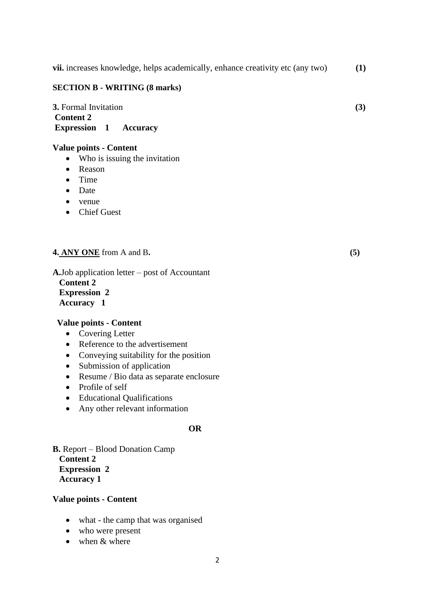**vii.** increases knowledge, helps academically, enhance creativity etc (any two) **(1)**

#### **SECTION B - WRITING (8 marks)**

**3.** Formal Invitation **(3) Content 2 Expression 1 Accuracy**

#### **Value points - Content**

- Who is issuing the invitation
- Reason
- Time
- Date
- venue
- Chief Guest

#### **4. ANY ONE** from A and B**. (5)**

**A.**Job application letter – post of Accountant  **Content 2 Expression 2 Accuracy 1**

#### **Value points - Content**

- Covering Letter
- Reference to the advertisement
- Conveying suitability for the position
- Submission of application
- Resume / Bio data as separate enclosure
- Profile of self
- Educational Qualifications
- Any other relevant information

#### **OR**

**B.** Report – Blood Donation Camp **Content 2 Expression 2 Accuracy 1** 

#### **Value points - Content**

- what the camp that was organised
- who were present
- when & where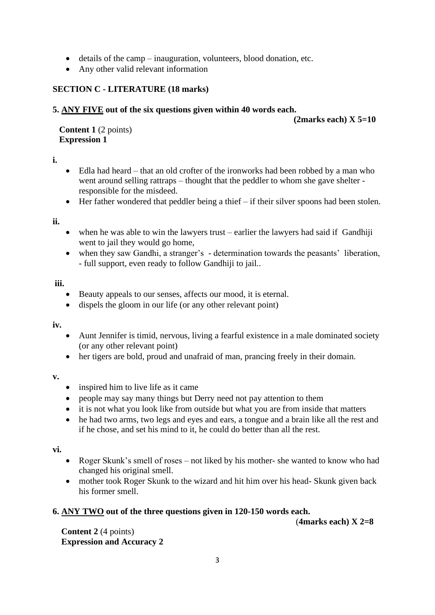- details of the camp inauguration, volunteers, blood donation, etc.
- Any other valid relevant information

## **SECTION C - LITERATURE (18 marks)**

#### **5. ANY FIVE out of the six questions given within 40 words each.**

 **(2marks each) X 5=10**

 **Content 1** (2 points)  **Expression 1**

#### **i.**

- Edla had heard that an old crofter of the ironworks had been robbed by a man who went around selling rattraps – thought that the peddler to whom she gave shelter responsible for the misdeed.
- Her father wondered that peddler being a thief if their silver spoons had been stolen.

**ii.**

- when he was able to win the lawyers trust earlier the lawyers had said if Gandhiji went to jail they would go home,
- when they saw Gandhi, a stranger's determination towards the peasants' liberation, - full support, even ready to follow Gandhiji to jail..

#### **iii.**

- Beauty appeals to our senses, affects our mood, it is eternal.
- dispels the gloom in our life (or any other relevant point)

**iv.**

- Aunt Jennifer is timid, nervous, living a fearful existence in a male dominated society (or any other relevant point)
- her tigers are bold, proud and unafraid of man, prancing freely in their domain.

#### **v.**

- inspired him to live life as it came
- people may say many things but Derry need not pay attention to them
- it is not what you look like from outside but what you are from inside that matters
- he had two arms, two legs and eyes and ears, a tongue and a brain like all the rest and if he chose, and set his mind to it, he could do better than all the rest.

#### **vi.**

- Roger Skunk's smell of roses not liked by his mother- she wanted to know who had changed his original smell.
- mother took Roger Skunk to the wizard and hit him over his head- Skunk given back his former smell.

## **6. ANY TWO out of the three questions given in 120-150 words each.**

(**4marks each) X 2=8**

 **Content 2** (4 points)  **Expression and Accuracy 2**